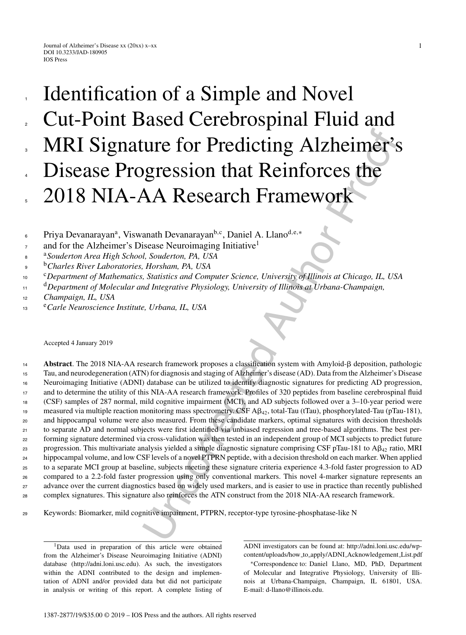# Identification of a Simple and Novel Cut-Point Based Cerebrospinal Fluid and MRI Signature for Predicting Alzheimer's Disease Progression that Reinforces the 2018 NIA-AA Research Framework 1 2 3 4 5

Priya Devanarayan<sup>a</sup>, Viswanath Devanarayan<sup>b,c</sup>, Daniel A. Llano<sup>d,e,\*</sup> 6

and for the Alzheimer's Disease Neuroimaging Initiative<sup>1</sup> 7

<sup>a</sup> <sup>8</sup> *Souderton Area High School, Souderton, PA, USA*

- <sup>b</sup> <sup>9</sup> *Charles River Laboratories, Horsham, PA, USA*
- <sup>c</sup> <sup>10</sup> *Department of Mathematics, Statistics and Computer Science, University of Illinois at Chicago, IL, USA*
- <sup>d</sup>*Department of Molecular and Integrative Physiology, University of Illinois at Urbana-Champaign,* 11
- *Champaign, IL, USA* 12
- <sup>e</sup> <sup>13</sup> *Carle Neuroscience Institute, Urbana, IL, USA*

Accepted 4 January 2019

LITE for Predicting Alzheimer<sup>2</sup><br>Supression that Reinforces the<br>AA Research Framework and Devanatage and  $\sim$  Democratic Revolution<br>and Devanatage and  $\sim$  Democratic Author Case Neuroimaging intimitive<br>issues Neuroimagin Abstract. The 2018 NIA-AA research framework proposes a classification system with Amyloid- $\beta$  deposition, pathologic Tau, and neurodegeneration (ATN) for diagnosis and staging of Alzheimer's disease (AD). Data from the Alzheimer's Disease Neuroimaging Initiative (ADNI) database can be utilized to identify diagnostic signatures for predicting AD progression, and to determine the utility of this NIA-AA research framework. Profiles of 320 peptides from baseline cerebrospinal fluid (CSF) samples of 287 normal, mild cognitive impairment (MCI), and AD subjects followed over a 3–10-year period were measured via multiple reaction monitoring mass spectrometry. CSF  $A\beta_{42}$ , total-Tau (tTau), phosphorylated-Tau (pTau-181), and hippocampal volume were also measured. From these candidate markers, optimal signatures with decision thresholds to separate AD and normal subjects were first identified via unbiased regression and tree-based algorithms. The best performing signature determined via cross-validation was then tested in an independent group of MCI subjects to predict future progression. This multivariate analysis yielded a simple diagnostic signature comprising CSF pTau-181 to  $A\beta_{42}$  ratio, MRI hippocampal volume, and low CSF levels of a novel PTPRN peptide, with a decision threshold on each marker. When applied to a separate MCI group at baseline, subjects meeting these signature criteria experience 4.3-fold faster progression to AD compared to a 2.2-fold faster progression using only conventional markers. This novel 4-marker signature represents an advance over the current diagnostics based on widely used markers, and is easier to use in practice than recently published complex signatures. This signature also reinforces the ATN construct from the 2018 NIA-AA research framework. 14 15 16 17 18 19 20  $21$ 22 23  $24$ 25 26 27 28

<sup>29</sup> Keywords: Biomarker, mild cognitive impairment, PTPRN, receptor-type tyrosine-phosphatase-like N

<sup>1</sup>Data used in preparation of this article were obtained from the Alzheimer's Disease Neuroimaging Initiative (ADNI) database [\(http://adni.loni.usc.edu](http://adni.loni.usc.edu)). As such, the investigators within the ADNI contributed to the design and implementation of ADNI and/or provided data but did not participate in analysis or writing of this report. A complete listing of ADNI investigators can be found at: [http://adni.loni.usc.edu/wp](http://adni.loni.usc.edu/wp-content/uploads/how_to_apply/ADNI_Acknowledgement_List.pdf)content/uploads/how to apply/ADNI Acknowledgement List.pdf

<sup>∗</sup>Correspondence to: Daniel Llano, MD, PhD, Department of Molecular and Integrative Physiology, University of Illinois at Urbana-Champaign, Champaign, IL 61801, USA. E-mail: [d-llano@illinois.edu](mailto:d-llano@illinois.edu).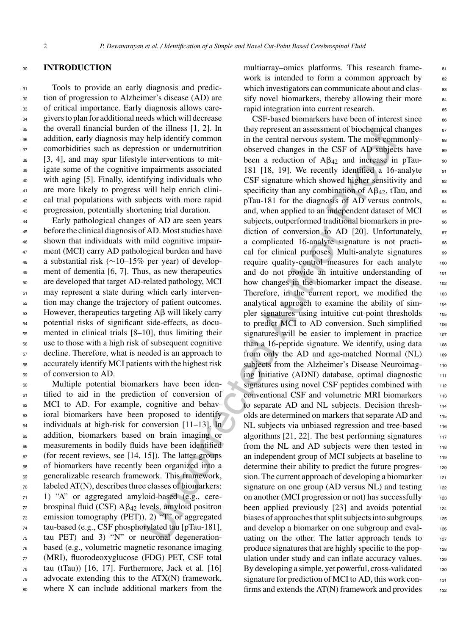#### <sup>30</sup> **INTRODUCTION**

 Tools to provide an early diagnosis and predic- tion of progression to Alzheimer's disease (AD) are of critical importance. Early diagnosis allows care- givers to plan for additional needs which will decrease the overall financial burden of the illness [1, 2]. In addition, early diagnosis may help identify common comorbidities such as depression or undernutrition [3, 4], and may spur lifestyle interventions to mit- igate some of the cognitive impairments associated with aging [5]. Finally, identifying individuals who are more likely to progress will help enrich clini- cal trial populations with subjects with more rapid progression, potentially shortening trial duration.

 Early pathological changes of AD are seen years before the clinical diagnosis of AD. Most studies have shown that individuals with mild cognitive impair-<sup>47</sup> ment (MCI) carry AD pathological burden and have 48 a substantial risk ( $\sim$ 10–15% per year) of develop- ment of dementia [6, 7]. Thus, as new therapeutics are developed that target AD-related pathology, MCI may represent a state during which early interven- tion may change the trajectory of patient outcomes. However, therapeutics targeting A $\beta$  will likely carry potential risks of significant side-effects, as docu- mented in clinical trials [8–10], thus limiting their use to those with a high risk of subsequent cognitive decline. Therefore, what is needed is an approach to accurately identify MCI patients with the highest risk of conversion to AD.

 Multiple potential biomarkers have been iden- tified to aid in the prediction of conversion of <sup>62</sup> MCI to AD. For example, cognitive and behav- ioral biomarkers have been proposed to identify individuals at high-risk for conversion [11–13]. In addition, biomarkers based on brain imaging or measurements in bodily fluids have been identified (for recent reviews, see [14, 15]). The latter groups of biomarkers have recently been organized into a generalizable research framework. This framework, labeled AT(N), describes three classes of biomarkers: 1) "A" or aggregated amyloid-based (e.g., cere- brospinal fluid (CSF) A $\beta_{42}$  levels, amyloid positron emission tomography (PET)), 2) "T" or aggregated tau-based (e.g., CSF phosphorylated tau [pTau-181], tau PET) and 3) "N" or neuronal degeneration- based (e.g., volumetric magnetic resonance imaging (MRI), fluorodeoxyglucose (FDG) PET, CSF total  $\tau$ <sup>8</sup> tau (tTau)) [16, 17]. Furthermore, Jack et al. [16] advocate extending this to the ATX(N) framework, where X can include additional markers from the

multiarray–omics platforms. This research frame-<br>81 work is intended to form a common approach by  $82$ which investigators can communicate about and classify novel biomarkers, thereby allowing their more 84 rapid integration into current research.

or the uneses [1, 21 Im they represent an assessment of bochemical constrained in the beam of the metral metral intervals in the CSF of AD subjects in the entertions to mit-<br>
interaction of AB<sub>42</sub> and interaction observed  $CSF-based biomarkers have been of interest since  $86$$ they represent an assessment of biochemical changes  $87$ in the central nervous system. The most commonlyobserved changes in the CSF of AD subjects have 89 been a reduction of  $A\beta_{42}$  and increase in pTau-181 [18, 19]. We recently identified a 16-analyte  $91$ CSF signature which showed higher sensitivity and 92 specificity than any combination of  $A\beta_{42}$ , tTau, and 93 pTau-181 for the diagnosis of AD versus controls, 94 and, when applied to an independent dataset of MCI 95 subjects, outperformed traditional biomarkers in prediction of conversion to AD [20]. Unfortunately, 97 a complicated 16-analyte signature is not practi-<br>set cal for clinical purposes. Multi-analyte signatures 99 require quality-control measures for each analyte 100 and do not provide an intuitive understanding of  $101$ how changes in the biomarker impact the disease. 102 Therefore, in the current report, we modified the 103 analytical approach to examine the ability of sim- <sup>104</sup> pler signatures using intuitive cut-point thresholds 105 to predict MCI to AD conversion. Such simplified 106 signatures will be easier to implement in practice 107 than a 16-peptide signature. We identify, using data  $108$ from only the AD and age-matched Normal (NL) 109 subjects from the Alzheimer's Disease Neuroimag-<br>110 ing Initiative (ADNI) database, optimal diagnostic 111 signatures using novel CSF peptides combined with 112 conventional CSF and volumetric MRI biomarkers 113 to separate AD and NL subjects. Decision thresh-<br>114 olds are determined on markers that separate AD and 115 NL subjects via unbiased regression and tree-based 116 algorithms  $[21, 22]$ . The best performing signatures  $117$ from the NL and AD subjects were then tested in 118 an independent group of MCI subjects at baseline to  $119$ determine their ability to predict the future progression. The current approach of developing a biomarker 121 signature on one group (AD versus NL) and testing 122 on another (MCI progression or not) has successfully 123 been applied previously  $[23]$  and avoids potential  $124$ biases of approaches that split subjects into subgroups 125 and develop a biomarker on one subgroup and evaluating on the other. The latter approach tends to  $127$ produce signatures that are highly specific to the population under study and can inflate accuracy values. 129 By developing a simple, yet powerful, cross-validated 130 signature for prediction of MCI to AD, this work confirms and extends the  $AT(N)$  framework and provides  $132$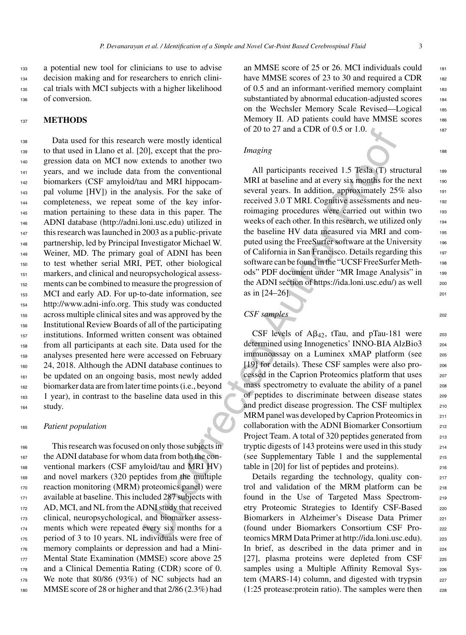<sup>137</sup> **METHODS**

<sup>136</sup> of conversion.

of 20 to 27 and a CDR of 0.5 or 1.0.<br> [th](https://ida.loni.usc.edu/)ere mostly identical<br>
sections to another two magning<br>
from the conventional<br>  $\sim$  Ming and the proofit of the two most of the conventional<br>
from the conventional<br>  $\sim$  Ming and the Data used for this research were mostly identical to that used in Llano et al. [20], except that the pro- gression data on MCI now extends to another two years, and we include data from the conventional biomarkers (CSF amyloid/tau and MRI hippocam- pal volume [HV]) in the analysis. For the sake of completeness, we repeat some of the key infor- mation pertaining to these data in this paper. The ADNI database [\(http://adni.loni.usc.edu\)](http://adni.loni.usc.edu) utilized in this research was launched in 2003 as a public-private partnership, led by Principal Investigator Michael W. 149 Weiner, MD. The primary goal of ADNI has been to test whether serial MRI, PET, other biological markers, and clinical and neuropsychological assess- ments can be combined to measure the progression of MCI and early AD. For up-to-date information, see <http://www.adni-info.org>. This study was conducted across multiple clinical sites and was approved by the Institutional Review Boards of all of the participating institutions. Informed written consent was obtained from all participants at each site. Data used for the analyses presented here were accessed on February 24, 2018. Although the ADNI database continues to be updated on an ongoing basis, most newly added biomarker data are from later time points (i.e., beyond 1 year), in contrast to the baseline data used in this <sup>164</sup> study.

#### <sup>165</sup> *Patient population*

 This research was focused on only those subjects in the ADNI database for whom data from both the con- ventional markers (CSF amyloid/tau and MRI HV) and novel markers (320 peptides from the multiple reaction monitoring (MRM) proteomics panel) were available at baseline. This included 287 subjects with AD, MCI, and NL from the ADNI study that received clinical, neuropsychological, and biomarker assess- ments which were repeated every six months for a 175 period of 3 to 10 years. NL individuals were free of memory complaints or depression and had a Mini-177 Mental State Examination (MMSE) score above 25 and a Clinical Dementia Rating (CDR) score of 0. We note that 80/86 (93%) of NC subjects had an MMSE score of 28 or higher and that 2/86 (2.3%) had

an MMSE score of  $25$  or  $26$ . MCI individuals could  $_{181}$ have MMSE scores of 23 to 30 and required a CDR 182 of 0.5 and an informant-verified memory complaint 183 substantiated by abnormal education-adjusted scores 184 on the Wechsler Memory Scale Revised—Logical 185 Memory II. AD patients could have MMSE scores 186 of 20 to 27 and a CDR of 0.5 or 1.0.

*Imaging* 188

All participants received 1.5 Tesla  $(T)$  structural 189 MRI at baseline and at every six months for the next 190 several years. In addition, approximately 25% also 191 received 3.0 T MRI. Cognitive assessments and neu- <sup>192</sup> roimaging procedures were carried out within two 193 weeks of each other. In this research, we utilized only 194 the baseline HV data measured via MRI and com- <sup>195</sup> puted using the FreeSurfer software at the University 196 of California in San Francisco. Details regarding this <sup>197</sup> software can be found in the "UCSF FreeSurfer Meth- 198 ods" PDF document under "MR Image Analysis" in 199 the ADNI section of https://ida.loni.usc.edu/) as well 200  $\alpha$ s in [24–26].

# *CSF samples* 202

CSF levels of  $A\beta_{42}$ , tTau, and pTau-181 were 203 determined using Innogenetics' INNO-BIA AlzBio3 <sup>204</sup> immunoassay on a Luminex xMAP platform (see 205 [19] for details). These CSF samples were also processed in the Caprion Proteomics platform that uses 207 mass spectrometry to evaluate the ability of a panel 208 of peptides to discriminate between disease states 209 and predict disease progression. The CSF multiplex 210 MRM panel was developed by Caprion Proteomics in 211 collaboration with the ADNI Biomarker Consortium 212 Project Team. A total of 320 peptides generated from 213 tryptic digests of 143 proteins were used in this study  $_{214}$ (see Supplementary Table 1 and the supplemental <sup>215</sup> table in  $[20]$  for list of peptides and proteins).

Details regarding the technology, quality control and validation of the MRM platform can be 218 found in the Use of Targeted Mass Spectrom- <sup>219</sup> etry Proteomic Strategies to Identify CSF-Based 220 Biomarkers in Alzheimer's Disease Data Primer 221 (found under Biomarkers Consortium CSF Pro- <sup>222</sup> teomics MRM Data Primer at<http://ida.loni.usc.edu>). 223 In brief, as described in the data primer and in 224 [27], plasma proteins were depleted from CSF 225 samples using a Multiple Affinity Removal Sys-<br>226 tem (MARS-14) column, and digested with trypsin <sub>227</sub>  $(1:25)$  protease: protein ratio). The samples were then  $228$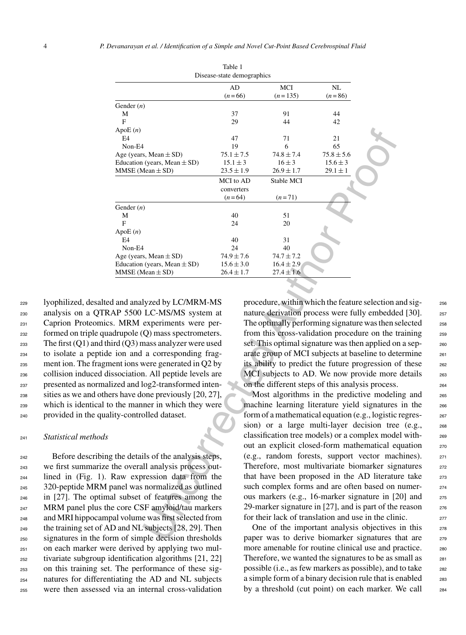|                                                           | Table 1                    |                                                                                               |                |  |
|-----------------------------------------------------------|----------------------------|-----------------------------------------------------------------------------------------------|----------------|--|
|                                                           | Disease-state demographics |                                                                                               |                |  |
|                                                           | AD                         | MCI                                                                                           | NL             |  |
|                                                           | $(n=66)$                   | $(n=135)$                                                                                     | $(n=86)$       |  |
| Gender $(n)$                                              |                            |                                                                                               |                |  |
| М                                                         | 37                         | 91                                                                                            | 44             |  |
| F                                                         | 29                         | 44                                                                                            | 42             |  |
| ApoE $(n)$<br>E4                                          | 47                         | 71                                                                                            | 21             |  |
| Non-E4                                                    | 19                         | 6                                                                                             | 65             |  |
| Age (years, Mean $\pm$ SD)                                | $75.1 \pm 7.5$             | $74.8 \pm 7.4$                                                                                | $75.8 \pm 5.6$ |  |
| Education (years, Mean $\pm$ SD)                          | $15.1 \pm 3$               | $16 \pm 3$                                                                                    | $15.6 \pm 3$   |  |
| $MMSE$ (Mean $\pm$ SD)                                    | $23.5 \pm 1.9$             | $26.9 \pm 1.7$                                                                                | $29.1 \pm 1$   |  |
|                                                           | MCI to AD                  | Stable MCI                                                                                    |                |  |
|                                                           | converters                 |                                                                                               |                |  |
|                                                           | $(n=64)$                   | $(n=71)$                                                                                      |                |  |
| Gender $(n)$                                              |                            |                                                                                               |                |  |
| M<br>F                                                    | 40                         | 51                                                                                            |                |  |
| ApoE $(n)$                                                | 24                         | 20                                                                                            |                |  |
| E4                                                        | 40                         | 31                                                                                            |                |  |
| Non-E4                                                    | 24                         | 40                                                                                            |                |  |
| Age (years, Mean $\pm$ SD)                                | $74.9 \pm 7.6$             | $74.7 \pm 7.2$                                                                                |                |  |
| Education (years, Mean $\pm$ SD)                          | $15.6 \pm 3.0$             | $16.4 \pm 2.9$                                                                                |                |  |
| $MMSE$ (Mean $\pm$ SD)                                    | $26.4 \pm 1.7$             | $27.4 \pm 1.6$                                                                                |                |  |
|                                                           |                            |                                                                                               |                |  |
| AP 5500 LC-MS/MS system at<br>. MRM experiments were per- |                            | nature derivation process were fully embedde<br>The optimally performing signature was then s |                |  |
| drupole (Q) mass spectrometers.                           |                            | from this cross-validation procedure on the t                                                 |                |  |
| rd (Q3) mass analyzer were used                           |                            | set. This optimal signature was then applied or                                               |                |  |
| ion and a corresponding frag-                             |                            | arate group of MCI subjects at baseline to det                                                |                |  |
| ent ions were generated in Q2 by                          |                            | its ability to predict the future progression of                                              |                |  |
| sociation. All peptide levels are                         |                            | MCI subjects to AD. We now provide more                                                       |                |  |
| zed and log2-transformed inten-                           |                            | on the different steps of this analysis process.                                              |                |  |
| rs have done previously [20, 27],                         |                            | Most algorithms in the predictive modeli                                                      |                |  |
| the manner in which they were                             |                            | machine learning literature yield signatures                                                  |                |  |
| ity-controlled dataset.                                   |                            | form of a mathematical equation (e.g., logistic                                               |                |  |
|                                                           |                            | sion) or a large multi-layer decision tree                                                    |                |  |
|                                                           |                            |                                                                                               |                |  |
|                                                           |                            | classification tree models) or a complex mode                                                 |                |  |
|                                                           |                            | out an explicit closed-form mathematical ed                                                   |                |  |
| the details of the analysis steps,                        |                            | (e.g., random forests, support vector mac                                                     |                |  |
| the overall analysis process out-                         |                            | Therefore, most multivariate biomarker sig                                                    |                |  |
| Raw expression data from the                              |                            | that have been proposed in the AD literatu                                                    |                |  |
| anel was normalized as outlined                           |                            | such complex forms and are often based on                                                     |                |  |
| I subset of features among the                            |                            | ous markers (e.g., 16-marker signature in [2]                                                 |                |  |
| core CSF amyloid/tau markers                              |                            | 29-marker signature in [27], and is part of the                                               |                |  |
| al volume was first selected from                         |                            | for their lack of translation and use in the clin                                             |                |  |
| D and NL subjects [28, 29]. Then                          |                            | One of the important analysis objectives                                                      |                |  |
| m of simple decision thresholds                           |                            | paper was to derive biomarker signatures t                                                    |                |  |

 lyophilized, desalted and analyzed by LC/MRM-MS analysis on a QTRAP 5500 LC-MS/MS system at Caprion Proteomics. MRM experiments were per- formed on triple quadrupole (Q) mass spectrometers. The first (Q1) and third (Q3) mass analyzer were used to isolate a peptide ion and a corresponding frag- ment ion. The fragment ions were generated in Q2 by collision induced dissociation. All peptide levels are presented as normalized and log2-transformed inten- sities as we and others have done previously [20, 27], which is identical to the manner in which they were provided in the quality-controlled dataset.

#### <sup>241</sup> *Statistical methods*

<sup>242</sup> Before describing the details of the analysis steps, we first summarize the overall analysis process out- lined in (Fig. 1). Raw expression data from the 320-peptide MRM panel was normalized as outlined in [27]. The optimal subset of features among the 247 MRM panel plus the core CSF amyloid/tau markers and MRI hippocampal volume was first selected from <sup>249</sup> the training set of AD and NL subjects [28, 29]. Then signatures in the form of simple decision thresholds on each marker were derived by applying two mul- tivariate subgroup identification algorithms [21, 22] on this training set. The performance of these sig- natures for differentiating the AD and NL subjects were then assessed via an internal cross-validation

procedure, within which the feature selection and sig-<br>256 nature derivation process were fully embedded [30]. 257 The optimally performing signature was then selected <sub>258</sub> from this cross-validation procedure on the training 259 set. This optimal signature was then applied on a sep-<br>260 arate group of MCI subjects at baseline to determine <sup>261</sup> its ability to predict the future progression of these 262 MCI subjects to AD. We now provide more details 263 on the different steps of this analysis process. <sup>264</sup>

Most algorithms in the predictive modeling and 265 machine learning literature yield signatures in the 266 form of a mathematical equation (e.g., logistic regres- <sup>267</sup> sion) or a large multi-layer decision tree (e.g., 268 classification tree models) or a complex model with- <sup>269</sup> out an explicit closed-form mathematical equation 270 (e.g., random forests, support vector machines). <sup>271</sup> Therefore, most multivariate biomarker signatures 272 that have been proposed in the AD literature take  $273$ such complex forms and are often based on numer-<br>274 ous markers (e.g., 16-marker signature in [20] and <sup>275</sup> 29-marker signature in [27], and is part of the reason  $276$ for their lack of translation and use in the clinic. 277

One of the important analysis objectives in this 278 paper was to derive biomarker signatures that are 279 more amenable for routine clinical use and practice. 280 Therefore, we wanted the signatures to be as small as 281 possible (i.e., as few markers as possible), and to take 282 a simple form of a binary decision rule that is enabled 283 by a threshold (cut point) on each marker. We call 284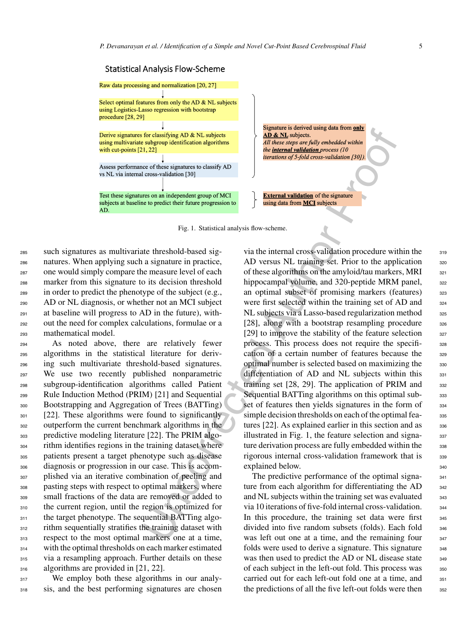# **Statistical Analysis Flow-Scheme**



Fig. 1. Statistical analysis flow-scheme.

 such signatures as multivariate threshold-based sig- natures. When applying such a signature in practice, one would simply compare the measure level of each marker from this signature to its decision threshold in order to predict the phenotype of the subject (e.g., AD or NL diagnosis, or whether not an MCI subject at baseline will progress to AD in the future), with- out the need for complex calculations, formulae or a mathematical model.

 As noted above, there are relatively fewer algorithms in the statistical literature for deriv- ing such multivariate threshold-based signatures. We use two recently published nonparametric subgroup-identification algorithms called Patient Rule Induction Method (PRIM) [21] and Sequential Bootstrapping and Aggregation of Trees (BATTing) [22]. These algorithms were found to significantly outperform the current benchmark algorithms in the predictive modeling literature [22]. The PRIM algo- rithm identifies regions in the training dataset where patients present a target phenotype such as disease diagnosis or progression in our case. This is accom- plished via an iterative combination of peeling and pasting steps with respect to optimal markers, where small fractions of the data are removed or added to the current region, until the region is optimized for 311 the target phenotype. The sequential BATTing algo-312 rithm sequentially stratifies the training dataset with respect to the most optimal markers one at a time, with the optimal thresholds on each marker estimated via a resampling approach. Further details on these algorithms are provided in [21, 22].

317 We employ both these algorithms in our analy-<sup>318</sup> sis, and the best performing signatures are chosen

For consideration and SNL subjects<br>
or  $\frac{1}{400}$  and the stream of the stream of the stream of the stream original and the stream original and the stream original and the stream original and the stream original and the via the internal cross-validation procedure within the  $\qquad$  319 AD versus NL training set. Prior to the application 320 of these algorithms on the amyloid/tau markers, MRI 321 hippocampal volume, and 320-peptide MRM panel, <sub>322</sub> an optimal subset of promising markers (features) 323 were first selected within the training set of AD and 324 NL subjects via a Lasso-based regularization method <sub>325</sub> [28], along with a bootstrap resampling procedure  $326$ [29] to improve the stability of the feature selection  $327$ process. This process does not require the specifi- <sup>328</sup> cation of a certain number of features because the 329 optimal number is selected based on maximizing the 330 differentiation of AD and NL subjects within this 331 training set  $[28, 29]$ . The application of PRIM and  $332$ Sequential BATTing algorithms on this optimal sub-<br>333 set of features then yields signatures in the form of 334 simple decision thresholds on each of the optimal fea-<br>335 tures  $[22]$ . As explained earlier in this section and as  $336$ illustrated in Fig. 1, the feature selection and signa- $337$ ture derivation process are fully embedded within the <sub>338</sub> rigorous internal cross-validation framework that is 339 explained below. 340

The predictive performance of the optimal signa-<br>341 ture from each algorithm for differentiating the  $AD$  342 and NL subjects within the training set was evaluated  $343$ via 10 iterations of five-fold internal cross-validation. 344 In this procedure, the training set data were first 345 divided into five random subsets (folds). Each fold 346 was left out one at a time, and the remaining four  $347$ folds were used to derive a signature. This signature  $\frac{348}{2}$ was then used to predict the AD or NL disease state 349 of each subject in the left-out fold. This process was 350 carried out for each left-out fold one at a time, and 351 the predictions of all the five left-out folds were then  $_{352}$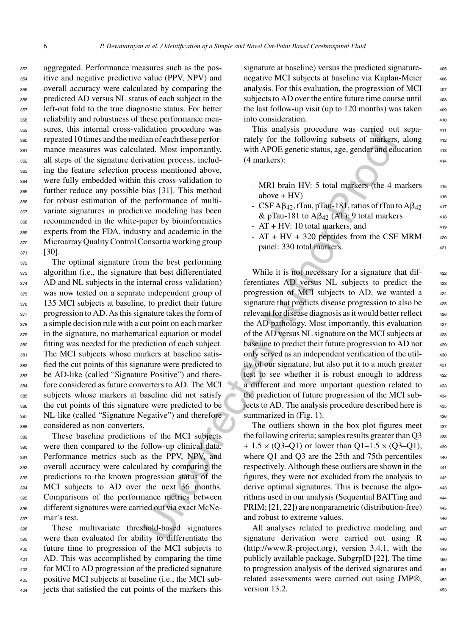aggregated. Performance measures such as the pos- itive and negative predictive value (PPV, NPV) and overall accuracy were calculated by comparing the predicted AD versus NL status of each subject in the left-out fold to the true diagnostic status. For better reliability and robustness of these performance mea- sures, this internal cross-validation procedure was repeated 10 times and the median of each these perfor- mance measures was calculated. Most importantly, all steps of the signature derivation process, includ- ing the feature selection process mentioned above, were fully embedded within this cross-validation to further reduce any possible bias [31]. This method for robust estimation of the performance of multi- variate signatures in predictive modeling has been recommended in the white-paper by bioinformatics experts from the FDA, industry and academic in the Microarray Quality Control Consortia working group [30].

372 The optimal signature from the best performing algorithm (i.e., the signature that best differentiated AD and NL subjects in the internal cross-validation) was now tested on a separate independent group of 376 135 MCI subjects at baseline, to predict their future 377 progression to AD. As this signature takes the form of a simple decision rule with a cut point on each marker in the signature, no mathematical equation or model fitting was needed for the prediction of each subject. The MCI subjects whose markers at baseline satis- fied the cut points of this signature were predicted to be AD-like (called "Signature Positive") and there- fore considered as future converters to AD. The MCI subjects whose markers at baseline did not satisfy the cut points of this signature were predicted to be NL-like (called "Signature Negative") and therefore considered as non-converters.

 These baseline predictions of the MCI subjects were then compared to the follow-up clinical data. 391 Performance metrics such as the PPV, NPV, and overall accuracy were calculated by comparing the predictions to the known progression status of the 394 MCI subjects to AD over the next 36 months. Comparisons of the performance metrics between different signatures were carried out via exact McNe-mar's test.

 These multivariate threshold-based signatures were then evaluated for ability to differentiate the future time to progression of the MCI subjects to AD. This was accomplished by comparing the time for MCI to AD progression of the predicted signature positive MCI subjects at baseline (i.e., the MCI sub-jects that satisfied the cut points of the markers this signature at baseline) versus the predicted signature-<br>405 negative MCI subjects at baseline via Kaplan-Meier analysis. For this evaluation, the progression of MCI  $_{407}$ subjects to AD over the entire future time course until the last follow-up visit (up to months) was taken  $408$ into consideration. 410

This analysis procedure was carried out sepa- <sup>411</sup> rately for the following subsets of markers, along with APOE genetic status, age, gender and education 413  $(4 \text{ markers})$ :  $414$ 

- MRI brain HV: 5 total markers (the 4 markers 415  $above + HV$   $416$
- $CSF A\beta_{42}$ , tTau, pTau-181, ratios of tTau to  $A\beta_{42}$  417 & pTau-181 to  $\mathsf{A}\beta_{42}$  (AT): 9 total markers  $418$
- $AT + HV: 10$  total markers, and  $419$
- $AT + HV + 320$  peptides from the CSF MRM  $_{420}$ panel: 330 total markers.

did into procedure was carrel out<br>
into an of each these performation of each these performatily for the following subsets of matters<br>
itend. Most importantly, with APOF genetic status, age, gender and education<br>
into fre While it is not necessary for a signature that differentiates AD versus NL subjects to predict the <sup>423</sup> progression of MCI subjects to AD, we wanted a signature that predicts disease progression to also be relevant for disease diagnosis as it would better reflect the AD pathology. Most importantly, this evaluation of the AD versus NL signature on the MCI subjects at baseline to predict their future progression to AD not only served as an independent verification of the utility of our signature, but also put it to a much greater test to see whether it is robust enough to address a different and more important question related to 433 the prediction of future progression of the MCI sub- <sup>434</sup> jects to AD. The analysis procedure described here is summarized in (Fig. 1). 436

The outliers shown in the box-plot figures meet the following criteria; samples results greater than  $Q3$  $+ 1.5 \times (03-01)$  or lower than  $01-1.5 \times (03-01)$ , 439 where Q1 and Q3 are the 25th and 75th percentiles respectively. Although these outliers are shown in the figures, they were not excluded from the analysis to derive optimal signatures. This is because the algo-<br>rithms used in our analysis (Sequential BATTing and <sup>444</sup>  $PRIM; [21, 22]$  are nonparametric (distribution-free) and robust to extreme values. 446

All analyses related to predictive modeling and signature derivation were carried out using R 448  $(http://www.R-project.org), version 3.4.1, with the  $449$  $(http://www.R-project.org), version 3.4.1, with the  $449$$$ publicly available package, SubgrpID  $[22]$ . The time  $450$ to progression analysis of the derived signatures and <sup>451</sup> related assessments were carried out using JMP®, <sup>452</sup> version  $13.2$ .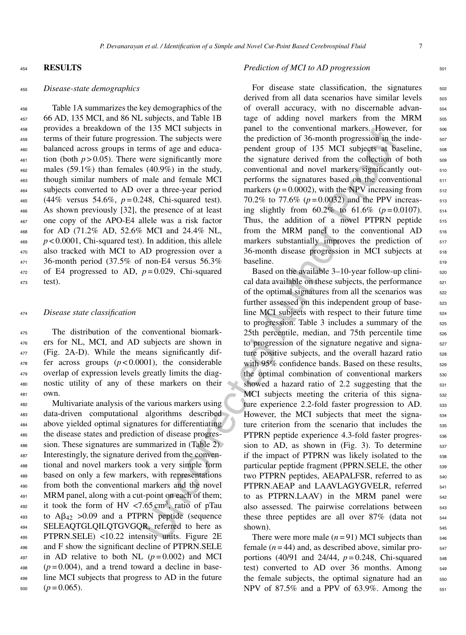## <sup>454</sup> **RESULTS**

#### <sup>455</sup> *Disease-state demographics*

 Table 1A summarizes the key demographics of the 66 AD, 135 MCI, and 86 NL subjects, and Table 1B provides a breakdown of the 135 MCI subjects in terms of their future progression. The subjects were balanced across groups in terms of age and educa- $\frac{461}{461}$  tion (both  $p > 0.05$ ). There were significantly more males (59.1%) than females (40.9%) in the study, though similar numbers of male and female MCI subjects converted to AD over a three-year period (44% versus 54.6%, *p* = 0.248, Chi-squared test). As shown previously [32], the presence of at least one copy of the APO-E4 allele was a risk factor for AD (71.2% AD, 52.6% MCI and 24.4% NL,  $p < 0.0001$ , Chi-squared test). In addition, this allele also tracked with MCI to AD progression over a 36-month period (37.5% of non-E4 versus 56.3%) of E4 progressed to AD,  $p=0.029$ , Chi-squared <sup>473</sup> test).

#### <sup>474</sup> *Disease state classification*

 The distribution of the conventional biomark- ers for NL, MCI, and AD subjects are shown in (Fig. 2A-D). While the means significantly dif- fer across groups  $(p < 0.0001)$ , the considerable overlap of expression levels greatly limits the diag- nostic utility of any of these markers on their <sup>481</sup> own.

 Multivariate analysis of the various markers using data-driven computational algorithms described above yielded optimal signatures for differentiating the disease states and prediction of disease progres- sion. These signatures are summarized in (Table 2). Interestingly, the signature derived from the conven- tional and novel markers took a very simple form based on only a few markers, with representations from both the conventional markers and the novel 491 MRM panel, along with a cut-point on each of them; <sup>492</sup> it took the form of HV <7.65 cm<sup>3</sup>, ratio of pTau 493 to  $\text{A}\beta_{42}$  >0.09 and a PTPRN peptide (sequence 494 SELEAQTGLQILQTGVGQR, referred to here as PTPRN.SELE) <10.22 intensity units. Figure 2E and F show the significant decline of PTPRN.SELE  $_{497}$  in AD relative to both NL ( $p = 0.002$ ) and MCI ( $p = 0.004$ ), and a trend toward a decline in base- line MCI subjects that progress to AD in the future  $_{500}$   $(p=0.065)$ .

#### *Prediction of MCI to AD progression* 501

For disease state classification, the signatures  $502$ derived from all data scenarios have similar levels 503 of overall accuracy, with no discernable advan- <sup>504</sup> tage of adding novel markers from the MRM 505 panel to the conventional markers. However, for  $\frac{506}{200}$ the prediction of 36-month progression in the independent group of 135 MCI subjects at baseline, some the signature derived from the collection of both 509 conventional and novel markers significantly out-<br>
<sub>510</sub> performs the signatures based on the conventional  $_{511}$ markers ( $p = 0.0002$ ), with the NPV increasing from  $512$ 70.2% to 77.6% ( $p = 0.0032$ ) and the PPV increasing slightly from  $60.2\%$  to  $61.6\%$  ( $p = 0.0107$ ).  $514$ Thus, the addition of a novel PTPRN peptide 515 from the MRM panel to the conventional AD 516 markers substantially improves the prediction of  $517$ 36-month disease progression in MCI subjects at 518 baseline.

135 Multiplets im pant to the conventional markets, rowever the prediction of 36-month progression in the convention of 135 MCI subjects are the signature period (40.9%) in the studies are been equived the signature deriv Based on the available  $3-10$ -year follow-up clinical data available on these subjects, the performance  $\frac{521}{2}$ of the optimal signatures from all the scenarios was  $522$ further assessed on this independent group of base-<br>
<sub>523</sub> line MCI subjects with respect to their future time  $524$ to progression. Table  $3$  includes a summary of the  $525$ 25th percentile, median, and 75th percentile time 526 to progression of the signature negative and signature positive subjects, and the overall hazard ratio  $528$ with  $95\%$  confidence bands. Based on these results,  $529$ the optimal combination of conventional markers 530 showed a hazard ratio of  $2.2$  suggesting that the  $531$ MCI subjects meeting the criteria of this signa-<br>532 ture experience 2.2-fold faster progression to AD.  $\frac{533}{2}$ However, the MCI subjects that meet the signa-<br>534 ture criterion from the scenario that includes the 535 PTPRN peptide experience 4.3-fold faster progres-<br>
<sub>536</sub> sion to AD, as shown in  $(Fig. 3)$ . To determine  $537$ if the impact of PTPRN was likely isolated to the 538 particular peptide fragment (PPRN.SELE, the other 539 two PTPRN peptides, AEAPALFSR, referred to as  $_{540}$ PTPRN.AEAP and LAAVLAGYGVELR, referred  $_{541}$ to as PTPRN.LAAV) in the MRM panel were 542 also assessed. The pairwise correlations between 543 these three peptides are all over 87% (data not 544  $shown)$ .  $545$ 

There were more male  $(n=91)$  MCI subjects than  $_{546}$ female  $(n=44)$  and, as described above, similar proportions (40/91 and 24/44,  $p=0.248$ , Chi-squared 548 test) converted to AD over 36 months. Among 549 the female subjects, the optimal signature had an 550 NPV of  $87.5\%$  and a PPV of  $63.9\%$ . Among the  $_{551}$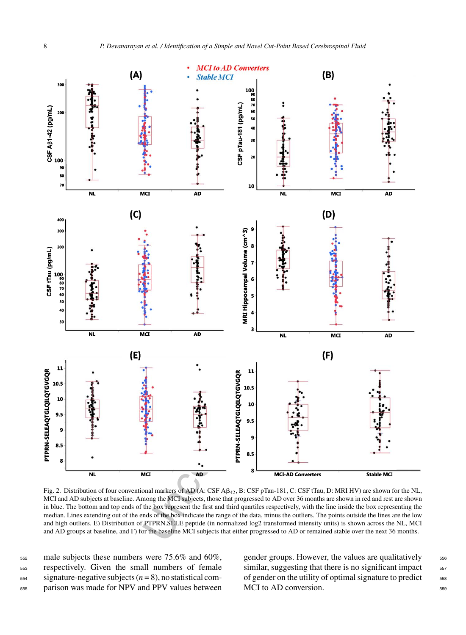

Fig. 2. Distribution of four conventional markers of AD (A:  $C$ SF A $\beta$ 42, B: CSF pTau-181, C: CSF tTau, D: MRI HV) are shown for the NL, MCI and AD subjects at baseline. Among the MCI subjects, those that progressed to AD over 36 months are shown in red and rest are shown in blue. The bottom and top ends of the box represent the first and third quartiles respectively, with the line inside the box representing the median. Lines extending out of the ends of the box indicate the range of the data, minus the outliers. The points outside the lines are the low and high outliers. E) Distribution of PTPRN.SELE peptide (in normalized log2 transformed intensity units) is shown across the NL, MCI and AD groups at baseline, and F) for the baseline MCI subjects that either progressed to AD or remained stable over the next 36 months.

 male subjects these numbers were 75.6% and 60%, respectively. Given the small numbers of female  $_{554}$  signature-negative subjects ( $n = 8$ ), no statistical com-parison was made for NPV and PPV values between

gender groups. However, the values are qualitatively similar, suggesting that there is no significant impact of gender on the utility of optimal signature to predict  $\qquad$ MCI to AD conversion.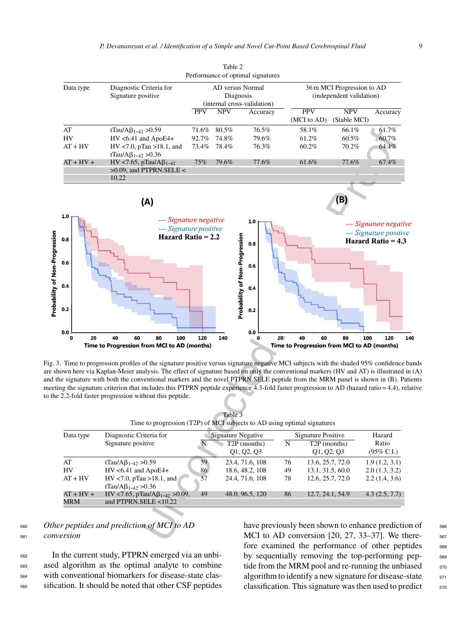|             |                                                                          |            |            | Performance of optimal signatures                            |                                                        |                            |                                                                     |
|-------------|--------------------------------------------------------------------------|------------|------------|--------------------------------------------------------------|--------------------------------------------------------|----------------------------|---------------------------------------------------------------------|
| Data type   | Diagnostic Criteria for<br>Signature positive                            |            |            | AD versus Normal<br>Diagnosis<br>(internal cross-validation) | 36 m MCI Progression to AD<br>(independent validation) |                            |                                                                     |
|             |                                                                          | <b>PPV</b> | <b>NPV</b> | Accuracy                                                     | <b>PPV</b><br>(MCI to AD)                              | <b>NPV</b><br>(Stable MCI) | Accuracy                                                            |
| AT          | tTau/A $\beta_{1-42} > 0.59$                                             | 71.6%      | 80.5%      | 76.5%                                                        | 58.1%                                                  | 66.1%                      | 61.7%                                                               |
| HV          | $HV < 6.41$ and $ApoE4+$                                                 | 92.7%      | 74.8%      | 79.6%                                                        | 61.2%                                                  | 60.5%                      | 60.7%                                                               |
| $AT + HV$   | $HV < 7.0$ , pTau > 18.1, and<br>tTau/A $\beta_{1-42} > 0.36$            | 73.4%      | 78.4%      | 76.3%                                                        | 60.2%                                                  | 70.2%                      | 64.4%                                                               |
| $AT + HV +$ | HV <7.65, pTau/Aβ <sub>1-42</sub>                                        | 75%        | 79.6%      | 77.6%                                                        | 61.6%                                                  | 77.6%                      | 67.4%                                                               |
|             | $>0.09$ , and PTPRN.SELE <                                               |            |            |                                                              |                                                        |                            |                                                                     |
|             | 10.22                                                                    |            |            |                                                              |                                                        |                            |                                                                     |
|             | (A)                                                                      |            |            |                                                              |                                                        | (B)                        |                                                                     |
| 1.0<br>0.8  | --- Signature negative<br>--- Signature positive<br>Hazard Ratio $= 2.2$ |            |            | 1.0<br>ogression<br>0.8                                      |                                                        |                            | --- Signature negati<br>--- Signature positi<br>Hazard Ratio $=$ 4. |

Table 2



Fig. 3. Time to progression profiles of the signature positive versus signature negative MCI subjects with the shaded 95% confidence bands are shown here via Kaplan-Meier analysis. The effect of signature based on only the conventional markers (HV and AT) is illustrated in (A) and the signature with both the conventional markers and the novel PTPRN.SELE peptide from the MRM panel is shown in (B). Patients meeting the signature criterion that includes this PTPRN peptide experience 4.3-fold faster progression to AD (hazard ratio = 4.4), relative to the 2.2-fold faster progression without this peptide.

| Table 3                                                                  |
|--------------------------------------------------------------------------|
| Time to progression (T2P) of MCI subjects to AD using optimal signatures |

| Data type   | Diagnostic Criteria for                  |    | <b>Signature Negative</b> |    | Signature Positive        | Hazard                |  |
|-------------|------------------------------------------|----|---------------------------|----|---------------------------|-----------------------|--|
|             | Signature positive                       |    | T <sub>2</sub> P (months) | N  | T <sub>2</sub> P (months) | Ratio                 |  |
|             |                                          |    | Q1, Q2, Q3                |    | Q1, Q2, Q3                | $(95\% \text{ C.I.})$ |  |
| AT          | tTau/A $\beta_{1-42} > 0.59$             | 59 | 23.4, 71.6, 108           | 76 | 13.6, 25.7, 72.0          | 1.9(1.2, 3.1)         |  |
| HV          | $HV < 6.41$ and $ApoE4+$                 | 86 | 18.6, 48.2, 108           | 49 | 13.1, 31.5, 60.0          | 2.0(1.3, 3.2)         |  |
| $AT + HV$   | $HV < 7.0$ , pTau >18.1, and             | 57 | 24.4, 71.6, 108           | 78 | 12.6, 25.7, 72.0          | 2.2(1.4, 3.6)         |  |
|             | tTau/A $\beta_{1-42} > 0.36$             |    |                           |    |                           |                       |  |
| $AT + HV +$ | HV <7.65, pTau/A $\beta_{1-42} > 0.09$ , | 49 | 48.0, 96.5, 120           | 86 | 12.7, 24.1, 54.9          | 4.3(2.5, 7.7)         |  |
| MRM         | and PTPRN.SELE $<$ 10.22                 |    |                           |    |                           |                       |  |

<sup>560</sup> *Other peptides and prediction of MCI to AD* <sup>561</sup> *conversion*

 In the current study, PTPRN emerged via an unbi- ased algorithm as the optimal analyte to combine with conventional biomarkers for disease-state clas-sification. It should be noted that other CSF peptides have previously been shown to enhance prediction of 566 MCI to AD conversion  $[20, 27, 33-37]$ . We therefore examined the performance of other peptides 568 by sequentially removing the top-performing pep-<br><sub>569</sub> tide from the MRM pool and re-running the unbiased  $570$ algorithm to identify a new signature for disease-state  $571$ classification. This signature was then used to predict  $\frac{572}{2}$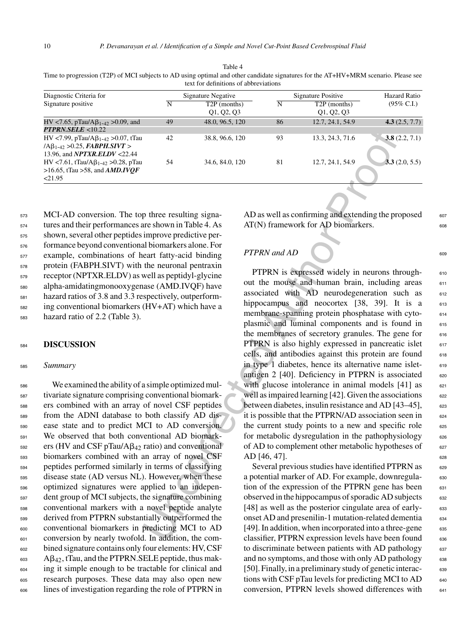| Table 4                                                                                                                             |
|-------------------------------------------------------------------------------------------------------------------------------------|
| Time to progression (T2P) of MCI subjects to AD using optimal and other candidate signatures for the AT+HV+MRM scenario. Please see |
| text for definitions of abbreviations                                                                                               |

| Diagnostic Criteria for                                                                                                    | <b>Signature Negative</b> |                                         | Signature Positive |                                         | Hazard Ratio          |
|----------------------------------------------------------------------------------------------------------------------------|---------------------------|-----------------------------------------|--------------------|-----------------------------------------|-----------------------|
| Signature positive                                                                                                         | N                         | T <sub>2</sub> P (months)<br>Q1, Q2, Q3 | N                  | T <sub>2</sub> P (months)<br>Q1, Q2, Q3 | $(95\% \text{ C.I.})$ |
| HV <7.65, pTau/A $\beta_{1-42} > 0.09$ , and<br>PTPRN. SELE < 10.22                                                        | 49                        | 48.0, 96.5, 120                         | 86                 | 12.7, 24.1, 54.9                        | 4.3 $(2.5, 7.7)$      |
| HV <7.99, pTau/A $\beta_{1-42} > 0.07$ , tTau<br>$AB_{1-42} > 0.25$ , FABPH.SIVT ><br>13.96, and <b>NPTXR, ELDV</b> <22.44 | 42                        | 38.8, 96.6, 120                         | 93                 | 13.3, 24.3, 71.6                        | 3.8 $(2.2, 7.1)$      |
| $HV < 7.61$ , tTau/A $\beta_{1-42} > 0.28$ , pTau<br>>16.65, tTau >58, and $AMD. IVOF$<br>< 21.95                          | 54                        | 34.6, 84.0, 120                         | 81                 | 12.7, 24.1, 54.9                        | 3.3(2.0, 5.5)         |

 MCI-AD conversion. The top three resulting signa- tures and their performances are shown in Table 4. As shown, several other peptides improve predictive per- formance beyond conventional biomarkers alone. For example, combinations of heart fatty-acid binding protein (FABPH.SIVT) with the neuronal pentraxin receptor (NPTXR.ELDV) as well as peptidyl-glycine alpha-amidatingmonooxygenase (AMD.IVQF) have hazard ratios of 3.8 and 3.3 respectively, outperform- ing conventional biomarkers (HV+AT) which have a hazard ratio of 2.2 (Table 3).

#### <sup>584</sup> **DISCUSSION**

#### <sup>585</sup> *Summary*

 We examined the ability of a simple optimized mul- tivariate signature comprising conventional biomark- ers combined with an array of novel CSF peptides from the ADNI database to both classify AD dis- ease state and to predict MCI to AD conversion. We observed that both conventional AD biomark- $_{592}$  ers (HV and CSF pTau/A $\beta_{42}$  ratio) and conventional biomarkers combined with an array of novel CSF peptides performed similarly in terms of classifying disease state (AD versus NL). However, when these optimized signatures were applied to an indepen- dent group of MCI subjects, the signature combining conventional markers with a novel peptide analyte derived from PTPRN substantially outperformed the conventional biomarkers in predicting MCI to AD conversion by nearly twofold. In addition, the com- bined signature contains only four elements: HV, CSF A $\beta_{42}$ , tTau, and the PTPRN.SELE peptide, thus mak- ing it simple enough to be tractable for clinical and research purposes. These data may also open new lines of investigation regarding the role of PTPRN in

 $AD$  as well as confirming and extending the proposed  $607$  $AT(N)$  framework for AD biomarkers.  $608$ 

## *PTPRN and AD* 609

42 38.8, 96.6, 120 93 13.3, 24.3, 71.6 38.<br>
54 34.6, 84.0, 120 81 12.7, 24.1, 54.9 3.8<br>
54 34.6, 84.0, 120 81 12.7, 24.1, 54.9 3.8<br>
54 34.6, 84.0, 120 81 12.7, 24.1, 54.9 3.8<br>
improve predictive per-<br>
improve probability PTPRN is expressed widely in neurons through-<br> $610$ out the mouse and human brain, including areas  $611$ associated with AD neurodegeneration such as 612 hippocampus and neocortex  $[38, 39]$ . It is a  $613$ membrane-spanning protein phosphatase with cyto-<br><sup>614</sup> plasmic and luminal components and is found in 615 the membranes of secretory granules. The gene for  $616$ **PTPRN** is also highly expressed in pancreatic islet  $617$ cells, and antibodies against this protein are found 618 in type 1 diabetes, hence its alternative name islet- $_{619}$ antigen 2 [40]. Deficiency in PTPRN is associated  $620$ with glucose intolerance in animal models  $[41]$  as  $\qquad \qquad \text{621}$ well as impaired learning  $[42]$ . Given the associations  $622$ between diabetes, insulin resistance and AD  $[43-45]$ ,  $623$ it is possible that the PTPRN/AD association seen in  $624$ the current study points to a new and specific role  $625$ for metabolic dysregulation in the pathophysiology  $\qquad \circ \circ$ of AD to complement other metabolic hypotheses of  $\qquad \qquad$  627  $AD [46, 47]$ .

Several previous studies have identified PTPRN as 629 a potential marker of AD. For example, downregula- 630 tion of the expression of the PTPRN gene has been  $631$ observed in the hippocampus of sporadic AD subjects  $632$ [48] as well as the posterior cingulate area of early- 633 onset AD and presenilin-1 mutation-related dementia 634 [49]. In addition, when incorporated into a three-gene  $\qquad$  635 classifier, PTPRN expression levels have been found 636 to discriminate between patients with AD pathology 637 and no symptoms, and those with only AD pathology  $\qquad \circ$ [50]. Finally, in a preliminary study of genetic interac- 639 tions with CSF pTau levels for predicting MCI to AD 640 conversion, PTPRN levels showed differences with 641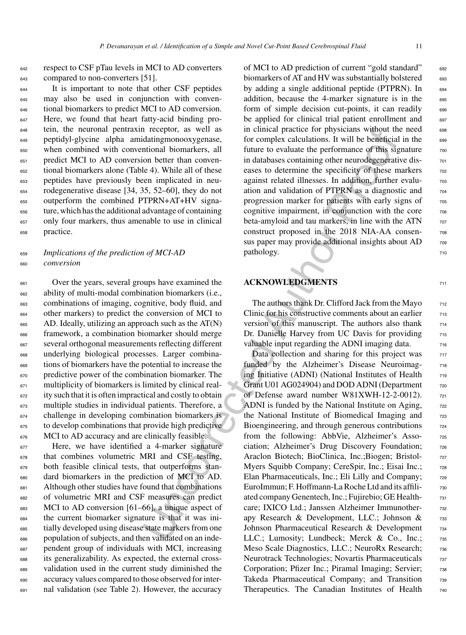<sup>642</sup> respect to CSF pTau levels in MCI to AD converters <sup>643</sup> compared to non-converters [51].

 It is important to note that other CSF peptides may also be used in conjunction with conven- tional biomarkers to predict MCI to AD conversion. <sup>647</sup> Here, we found that heart fatty-acid binding pro- tein, the neuronal pentraxin receptor, as well as peptidyl-glycine alpha amidatingmonooxygenase, when combined with conventional biomarkers, all predict MCI to AD conversion better than conven- tional biomarkers alone (Table 4). While all of these peptides have previously been implicated in neu- rodegenerative disease [34, 35, 52–60], they do not outperform the combined PTPRN+AT+HV signa- ture, which has the additional advantage of containing only four markers, thus amenable to use in clinical practice.

## <sup>659</sup> *Implications of the prediction of MCI-AD* <sup>660</sup> *conversion*

 Over the years, several groups have examined the ability of multi-modal combination biomarkers (i.e., combinations of imaging, cognitive, body fluid, and other markers) to predict the conversion of MCI to AD. Ideally, utilizing an approach such as the AT(N) framework, a combination biomarker should merge several orthogonal measurements reflecting different underlying biological processes. Larger combina- tions of biomarkers have the potential to increase the predictive power of the combination biomarker. The multiplicity of biomarkers is limited by clinical real- ity such that it is often impractical and costly to obtain multiple studies in individual patients. Therefore, a challenge in developing combination biomarkers is to develop combinations that provide high predictive MCI to AD accuracy and are clinically feasible.

 Here, we have identified a 4-marker signature 678 that combines volumetric MRI and CSF testing, both feasible clinical tests, that outperforms stan- dard biomarkers in the prediction of MCI to AD. Although other studies have found that combinations of volumetric MRI and CSF measures can predict MCI to AD conversion [61–66], a unique aspect of the current biomarker signature is that it was ini- tially developed using disease state markers from one population of subjects, and then validated on an inde- pendent group of individuals with MCI, increasing its generalizability. As expected, the external cross- validation used in the current study diminished the accuracy values compared to those observed for inter-nal validation (see Table 2). However, the accuracy

of MCI to AD prediction of current "gold standard" 692 biomarkers of AT and HV was substantially bolstered 693 by adding a single additional peptide (PTPRN). In 694 addition, because the 4-marker signature is in the 695 form of simple decision cut-points, it can readily 696 be applied for clinical trial patient enrollment and 697 in clinical practice for physicians without the need 698 for complex calculations. It will be beneficial in the 699 future to evaluate the performance of this signature  $700$ in databases containing other neurodegenerative diseases to determine the specificity of these markers  $\frac{702}{202}$ against related illnesses. In addition, further evaluation and validation of PTPRN as a diagnostic and <sup>704</sup> progression marker for patients with early signs of  $\frac{705}{600}$ cognitive impairment, in conjunction with the core  $706$ beta-amyloid and tau markers, in line with the ATN  $_{707}$ construct proposed in the 2018 NIA-AA consensus paper may provide additional insights about AD  $\qquad$  709  $pathology.$   $710$ 

# **ACKNOWLEDGMENTS**

The authors thank Dr. Clifford Jack from the Mayo  $_{712}$ Clinic for his constructive comments about an earlier  $\frac{713}{213}$ version of this manuscript. The authors also thank  $\frac{714}{2}$ Dr. Danielle Harvey from UC Davis for providing 715 valuable input regarding the ADNI imaging data.  $716$ 

n ecceptor, as well as in clinical practice for physicials and incomenate that<br>indianyononoxygenase, for complex calculations, It will be beneficial<br>minomocoxygenase, for complex calculations, It will be beneficial<br>into lo Data collection and sharing for this project was 717 funded by the Alzheimer's Disease Neuroimag-<br>  $718$ ing Initiative (ADNI) (National Institutes of Health 719 Grant U01 AG024904) and DOD ADNI (Department  $_{720}$ of Defense award number W81XWH-12-2-0012).  $\frac{721}{221}$ ADNI is funded by the National Institute on Aging,  $\frac{722}{2}$ the National Institute of Biomedical Imaging and  $\frac{723}{20}$ Bioengineering, and through generous contributions  $\frac{724}{6}$ from the following: AbbVie, Alzheimer's Asso- <sup>725</sup> ciation; Alzheimer's Drug Discovery Foundation;  $_{726}$ Araclon Biotech; BioClinica, Inc.; Biogen; Bristol-Myers Squibb Company; CereSpir, Inc.; Eisai Inc.; 728 Elan Pharmaceuticals, Inc.; Eli Lilly and Company;  $\frac{728}{2}$ EuroImmun; F. Hoffmann-La Roche Ltd and its affili-<br>  $730$ ated company Genentech, Inc.; Fujirebio; GE Health- <sup>731</sup> care; IXICO Ltd.; Janssen Alzheimer Immunother-<br>
732 apy Research & Development, LLC.; Johnson & 733 Johnson Pharmaceutical Research & Development 734 LLC.; Lumosity; Lundbeck; Merck & Co., Inc.; 735 Meso Scale Diagnostics, LLC.; NeuroRx Research; 736 Neurotrack Technologies; Novartis Pharmaceuticals  $\frac{737}{737}$ Corporation; Pfizer Inc.; Piramal Imaging; Servier; 738 Takeda Pharmaceutical Company; and Transition 739 Therapeutics. The Canadian Institutes of Health 740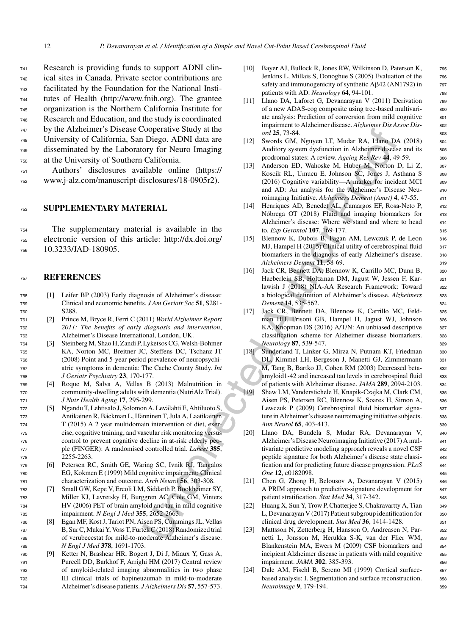Research is providing funds to support ADNI clin- ical sites in Canada. Private sector contributions are facilitated by the Foundation for the National Insti- tutes of Health [\(http://www.fnih.org\)](http://www.fnih.org). The grantee organization is the Northern California Institute for Research and Education, and the study is coordinated by the Alzheimer's Disease Cooperative Study at the University of California, San Diego. ADNI data are disseminated by the Laboratory for Neuro Imaging at the University of Southern California.

<sup>751</sup> Authors' disclosures available online (https:// <sup>752</sup> [www.j-alz.com/manuscript-disclosures/18-0905r2\)](https://www.j-alz.com/manuscript-disclosures/18-0905r2).

#### <sup>753</sup> **SUPPLEMENTARY MATERIAL**

<sup>754</sup> The supplementary material is available in the <sup>755</sup> electronic version of this article: http://dx.doi.org/ <sup>756</sup> [10.3233/JAD-180905.](http://dx.doi.org/10.3233/JAD-180905)

## <sup>757</sup> **REFERENCES**

- <sup>758</sup> [1] Leifer BP (2003) Early diagnosis of Alzheimer's disease: <sup>759</sup> Clinical and economic benefits. *J Am Geriatr Soc* **51**, S281- <sup>760</sup> S288.
- <sup>761</sup> [2] Prince M, Bryce R, Ferri C (2011) *World Alzheimer Report* <sup>762</sup> *2011: The benefits of early diagnosis and intervention*, <sup>763</sup> Alzheimer's Disease International, London, UK.
- <sup>764</sup> [3] Steinberg M, Shao H, Zandi P, Lyketsos CG, Welsh-Bohmer <sup>765</sup> KA, Norton MC, Breitner JC, Steffens DC, Tschanz JT <sup>766</sup> (2008) Point and 5-year period prevalence of neuropsychi-<sup>767</sup> atric symptoms in dementia: The Cache County Study. *Int* <sup>768</sup> *J Geriatr Psychiatry* **23**, 170-177.
- <sup>769</sup> [4] Roque M, Salva A, Vellas B (2013) Malnutrition in <sup>770</sup> community-dwelling adults with dementia (NutriAlz Trial). <sup>771</sup> *J Nutr Health Aging* **17**, 295-299.
- <sup>772</sup> [5] Ngandu T, Lehtisalo J, Solomon A, Levalahti E, Ahtiluoto S, ¨ 773 Antikainen R, Bäckman L, Hänninen T, Jula A, Laatikainen <sup>774</sup> T (2015) A 2 year multidomain intervention of diet, exer-<sup>775</sup> cise, cognitive training, and vascular risk monitoring versus <sup>776</sup> control to prevent cognitive decline in at-risk elderly peo-<sup>777</sup> ple (FINGER): A randomised controlled trial. *Lancet* **385**, <sup>778</sup> 2255-2263.
- <sup>779</sup> [6] Petersen RC, Smith GE, Waring SC, Ivnik RJ, Tangalos <sup>780</sup> EG, Kokmen E (1999) Mild cognitive impairment: Clinical <sup>781</sup> characterization and outcome. *Arch Neurol* **56**, 303-308.
- <sup>782</sup> [7] Small GW, Kepe V, Ercoli LM, Siddarth P, Bookheimer SY, <sup>783</sup> Miller KJ, Lavretsky H, Burggren AC, Cole GM, Vinters <sup>784</sup> HV (2006) PET of brain amyloid and tau in mild cognitive <sup>785</sup> impairment. *N Engl J Med* **355**, 2652-2663.
- <sup>786</sup> [8] Egan MF, Kost J, Tariot PN, Aisen PS, Cummings JL, Vellas <sup>787</sup> B, Sur C, Mukai Y, Voss T, Furtek C (2018) Randomized trial <sup>788</sup> of verubecestat for mild-to-moderate Alzheimer's disease. <sup>789</sup> *N Engl J Med* **378**, 1691-1703.
- <sup>790</sup> [9] Ketter N, Brashear HR, Bogert J, Di J, Miaux Y, Gass A, <sup>791</sup> Purcell DD, Barkhof F, Arrighi HM (2017) Central review <sup>792</sup> of amyloid-related imaging abnormalities in two phase <sup>793</sup> III clinical trials of bapineuzumab in mild-to-moderate <sup>794</sup> Alzheimer's disease patients. *J Alzheimers Dis* **57**, 557-573.
- [10] Bayer AJ, Bullock R, Jones RW, Wilkinson D, Paterson K,  $\frac{795}{2}$ Jenkins L, Millais S, Donoghue S (2005) Evaluation of the <sup>796</sup> safety and immunogenicity of synthetic A $\beta$ 42 (AN1792) in  $\qquad$  797 patients with AD. *Neurology* **64**, 94-101. <sup>798</sup>
- [11] Llano DA, Laforet G, Devanarayan V (2011) Derivation 799 of a new ADAS-cog composite using tree-based multivari-<br>soc ate analysis: Prediction of conversion from mild cognitive 801 impairment to Alzheimer disease. *Alzheimer Dis Assoc Dis-* 802 *ord* **25**, 73-84. 803
- [12] Swords GM, Nguyen LT, Mudar RA, Llano DA (2018) 804 Auditory system dysfunction in Alzheimer disease and its 805 prodromal states: A review. *Ageing Res Rev* 44, 49-59. 806
- [13] Anderson ED, Wahoske M, Huber M, Norton D, Li Z, 807 Koscik RL, Umucu E, Johnson SC, Jones J, Asthana S 808 (2016) Cognitive variability—A marker for incident MCI 809 and AD: An analysis for the Alzheimer's Disease Neu-<br>810 roimaging Initiative. *Alzheimers Dement (Amst)* **4**, 47-55. <sup>811</sup>
- [14] Henriques AD, Benedet AL, Camargos EF, Rosa-Neto P, 812 Nóbrega OT (2018) Fluid and imaging biomarkers for 813 Alzheimer's disease: Where we stand and where to head 814 to. *Exp Gerontol* **107**, 169-177. <sup>815</sup>
- [15] Blennow K, Dubois B, Fagan AM, Lewczuk P, de Leon 816 MJ, Hampel H (2015) Clinical utility of cerebrospinal fluid 817 biomarkers in the diagnosis of early Alzheimer's disease. 818 *Alzheimers Dement* **11**, 58-69. <sup>819</sup>
- [16] Jack CR, Bennett DA, Blennow K, Carrillo MC, Dunn B, 820 Haeberlein SB, Holtzman DM, Jagust W, Jessen F, Kar- 821 lawish J (2018) NIA-AA Research Framework: Toward 822 a biological definition of Alzheimer's disease. Alzheimers 823 *Dement* **14**, 535-562. <sup>824</sup>
- [17] Jack CR, Bennett DA, Blennow K, Carrillo MC, Feld- 825 man HH, Frisoni GB, Hampel H, Jagust WJ, Johnson 826 KA, Knopman DS  $(2016)$  A/T/N: An unbiased descriptive  $827$ classification scheme for Alzheimer disease biomarkers. 828 *Neurology* **87**, 539-547. <sup>829</sup>
- [18] Sunderland T, Linker G, Mirza N, Putnam KT, Friedman 830 DL, Kimmel LH, Bergeson J, Manetti GJ, Zimmermann 831 M, Tang B, Bartko JJ, Cohen RM (2003) Decreased beta- 832 amyloid1-42 and increased tau levels in cerebrospinal fluid ass of patients with Alzheimer disease. *JAMA* **289**, 2094-2103. <sup>834</sup>
- [19] Shaw LM, Vanderstichele H, Knapik-Czajka M, Clark CM, <sup>835</sup> Aisen PS, Petersen RC, Blennow K, Soares H, Simon A, 836 Lewczuk P (2009) Cerebrospinal fluid biomarker signa-<br>837 ture in Alzheimer's disease neuroimaging initiative subjects. 838 *Ann Neurol* **65**, 403-413. 839
- Concertainty Study of the cost 5, 734, 44, and the cost 17, 23, 34, 44, and 25, 2013 (Notice Study of The Concertainty Study (201) California (California Author System Concertainty and Author System (201) And<br>california ( [20] Llano DA, Bundela S, Mudar RA, Devanarayan V, 840 Alzheimer's Disease Neuroimaging Initiative (2017) A mul- <sup>841</sup> tivariate predictive modeling approach reveals a novel CSF 842 peptide signature for both Alzheimer's disease state classi- <sup>843</sup> fication and for predicting future disease progression. *PLoS* 844 *One* **12**, e0182098. 845
	- [21] Chen G, Zhong H, Belousov A, Devanarayan V (2015) 846 A PRIM approach to predictive-signature development for 847 patient stratification. *Stat Med* 34, 317-342. 848
	- [22] Huang X, Sun Y, Trow P, Chatterjee S, Chakravartty A, Tian 849 L, Devanarayan V (2017) Patient subgroup identification for  $\qquad$  850 clinical drug development. *Stat Med* **36**, 1414-1428. <sup>851</sup>
	- [23] Mattsson N, Zetterberg H, Hansson O, Andreasen N, Par- 852 netti L, Jonsson M, Herukka S-K, van der Flier WM, 853 Blankenstein MA, Ewers M (2009) CSF biomarkers and 854 incipient Alzheimer disease in patients with mild cognitive 855 impairment. *JAMA* **302**, 385-393. <sup>856</sup>
	- [24] Dale AM, Fischl B, Sereno MI (1999) Cortical surface- <sup>857</sup> based analysis: I. Segmentation and surface reconstruction. 858 *Neuroimage* 9, 179-194. 859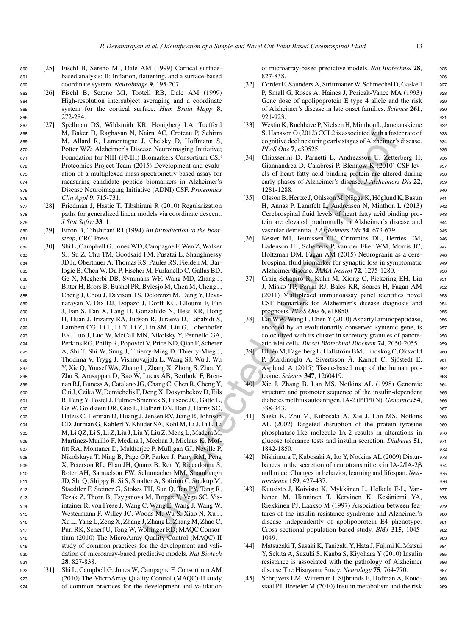974

- <sup>860</sup> [25] Fischl B, Sereno MI, Dale AM (1999) Cortical surface-<sup>861</sup> based analysis: II: Inflation, flattening, and a surface-based <sup>862</sup> coordinate system. *Neuroimage* **9**, 195-207.
- <sup>863</sup> [26] Fischl B, Sereno MI, Tootell RB, Dale AM (1999) <sup>864</sup> High-resolution intersubject averaging and a coordinate <sup>865</sup> system for the cortical surface. *Hum Brain Mapp* **8**, 866 272-284
- <sup>867</sup> [27] Spellman DS, Wildsmith KR, Honigberg LA, Tuefferd <sup>868</sup> M, Baker D, Raghavan N, Nairn AC, Croteau P, Schirm <sup>869</sup> M, Allard R, Lamontagne J, Chelsky D, Hoffmann S, <sup>870</sup> Potter WZ; Alzheimer's Disease Neuroimaging Initiative; <sup>871</sup> Foundation for NIH (FNIH) Biomarkers Consortium CSF <sup>872</sup> Proteomics Project Team (2015) Development and evalu-<sup>873</sup> ation of a multiplexed mass spectrometry based assay for <sup>874</sup> measuring candidate peptide biomarkers in Alzheimer's <sup>875</sup> Disease Neuroimaging Initiative (ADNI) CSF. *Proteomics* <sup>876</sup> *Clin Appl* **9**, 715-731.
- <sup>877</sup> [28] Friedman J, Hastie T, Tibshirani R (2010) Regularization <sup>878</sup> paths for generalized linear models via coordinate descent. <sup>879</sup> *J Stat Softw* **33**, 1.
- <sup>880</sup> [29] Efron B, Tibshirani RJ (1994) *An introduction to the boot-*<sup>881</sup> *strap*, CRC Press.
- iain AC. Consensus Relington (Coltzier Schemer Proof (Coltzier Schemer Accelsion (Coltzier Schemer Author Consensus Consensus Consensus Consensus Consensus Consensus Consensus Consensus Relington (Coltzier Schemer Author <sup>882</sup> [30] Shi L, Campbell G, Jones WD, Campagne F, Wen Z, Walker <sup>883</sup> SJ, Su Z, Chu TM, Goodsaid FM, Pusztai L, Shaughnessy <sup>884</sup> JD Jr, Oberthuer A, Thomas RS, Paules RS, Fielden M, Bar-<sup>885</sup> logie B, Chen W, Du P, Fischer M, Furlanello C, Gallas BD, <sup>886</sup> Ge X, Megherbi DB, Symmans WF, Wang MD, Zhang J, <sup>887</sup> Bitter H, Brors B, Bushel PR, Bylesjo M, Chen M, Cheng J, <sup>888</sup> Cheng J, Chou J, Davison TS, Delorenzi M, Deng Y, Deva-<sup>889</sup> narayan V, Dix DJ, Dopazo J, Dorff KC, Elloumi F, Fan <sup>890</sup> J, Fan S, Fan X, Fang H, Gonzaludo N, Hess KR, Hong <sup>891</sup> H, Huan J, Irizarry RA, Judson R, Juraeva D, Lababidi S, <sup>892</sup> Lambert CG, Li L, Li Y, Li Z, Lin SM, Liu G, Lobenhofer <sup>893</sup> EK, Luo J, Luo W, McCall MN, Nikolsky Y, Pennello GA, <sup>894</sup> Perkins RG, Philip R, Popovici V, Price ND, Qian F, Scherer <sup>895</sup> A, Shi T, Shi W, Sung J, Thierry-Mieg D, Thierry-Mieg J, <sup>896</sup> Thodima V, Trygg J, Vishnuvajjala L, Wang SJ, Wu J, Wu <sup>897</sup> Y, Xie Q, Yousef WA, Zhang L, Zhang X, Zhong S, Zhou Y, <sup>898</sup> Zhu S, Arasappan D, Bao W, Lucas AB, Berthold F, Bren-<sup>899</sup> nan RJ, Buness A, Catalano JG, Chang C, Chen R, Cheng Y, <sup>900</sup> Cui J, Czika W, Demichelis F, Deng X, Dosymbekov D, Eils <sup>901</sup> R, Feng Y, Fostel J, Fulmer-Smentek S, Fuscoe JC, Gatto L, <sup>902</sup> Ge W, Goldstein DR, Guo L, Halbert DN, Han J, Harris SC, <sup>903</sup> Hatzis C, Herman D, Huang J, Jensen RV, Jiang R, Johnson <sup>904</sup> CD, Jurman G, Kahlert Y, Khuder SA, Kohl M, Li J, Li L, Li <sup>905</sup> M, Li QZ, Li S, Li Z, Liu J, Liu Y, Liu Z, Meng L, Madera M, <sup>906</sup> Martinez-Murillo F, Medina I, Meehan J, Miclaus K, Mof-<sup>907</sup> fitt RA, Montaner D, Mukherjee P, Mulligan GJ, Neville P, <sup>908</sup> Nikolskaya T, Ning B, Page GP, Parker J, Parry RM, Peng <sup>909</sup> X, Peterson RL, Phan JH, Quanz B, Ren Y, Riccadonna S, <sup>910</sup> Roter AH, Samuelson FW, Schumacher MM, Shambaugh <sup>911</sup> JD, Shi Q, Shippy R, Si S, Smalter A, Sotiriou C, Soukup M, <sup>912</sup> Staedtler F, Steiner G, Stokes TH, Sun Q, Tan PY, Tang R, <sup>913</sup> Tezak Z, Thorn B, Tsyganova M, Turpaz Y, Vega SC, Vis-<sup>914</sup> intainer R, von Frese J, Wang C, Wang E, Wang J, Wang W, <sup>915</sup> Westermann F, Willey JC, Woods M, Wu S, Xiao N, Xu J, <sup>916</sup> Xu L, Yang L, Zeng X, Zhang J, Zhang L, Zhang M, Zhao C, <sup>917</sup> Puri RK, Scherf U, Tong W, Wolfinger RD; MAQC Consor-<sup>918</sup> tium (2010) The MicroArray Quality Control (MAQC)-II <sup>919</sup> study of common practices for the development and vali-<sup>920</sup> dation of microarray-based predictive models. *Nat Biotech* <sup>921</sup> **28**, 827-838.
- <sup>922</sup> [31] Shi L, Campbell G, Jones W, Campagne F, Consortium AM <sup>923</sup> (2010) The MicroArray Quality Control (MAQC)-II study <sup>924</sup> of common practices for the development and validation

of microarray-based predictive models. *Nat Biotechnol* **28**, <sup>925</sup> 827-838. 926

- [32] Corder E, Saunders A, Strittmatter W, Schmechel D, Gaskell 927 P, Small G, Roses A, Haines J, Pericak-Vance MA (1993) 928 Gene dose of apolipoprotein E type 4 allele and the risk 929 of Alzheimer's disease in late onset families. *Science* **261**, <sup>930</sup> 921-923. 931
- [33] Westin K, Buchhave P, Nielsen H, Minthon L, Janciauskiene <sup>932</sup> S, Hansson O (2012) CCL2 is associated with a faster rate of 933 cognitive decline during early stages of Alzheimer's disease. <sup>934</sup> *PLoS One* **7**, e30525. <sup>935</sup>
- [34] Chiasserini D, Parnetti L, Andreasson U, Zetterberg H, <sup>936</sup> Giannandrea D, Calabresi P, Blennow K (2010) CSF lev-<br>937 els of heart fatty acid binding protein are altered during 938 early phases of Alzheimer's disease. *J Alzheimers Dis* **22**, <sup>939</sup> 1281-1288. <sup>940</sup>
- [35] Olsson B, Hertze J, Ohlsson M, Nägga K, Höglund K, Basun 941 H, Annas P, Lannfelt L, Andreasen N, Minthon L (2013) <sup>942</sup> Cerebrospinal fluid levels of heart fatty acid binding pro- <sup>943</sup> tein are elevated prodromally in Alzheimer's disease and <sup>944</sup> vascular dementia. *J Alzheimers Dis* **34**, 673-679. <sup>945</sup>
- [36] Kester MI, Teunissen CE, Crimmins DL, Herries EM, <sup>946</sup> Ladenson JH, Scheltens P, van der Flier WM, Morris JC, 947 Holtzman DM, Fagan AM (2015) Neurogranin as a cere-<br>948 brospinal fluid biomarker for synaptic loss in symptomatic 949 Alzheimer disease. *JAMA Neurol* **72**, 1275-1280. <sup>950</sup>
- [37] Craig-Schapiro R, Kuhn M, Xiong C, Pickering EH, Liu 951 J, Misko TP, Perrin RJ, Bales KR, Soares H, Fagan AM 952 (2011) Multiplexed immunoassay panel identifies novel 953 CSF biomarkers for Alzheimer's disease diagnosis and <sup>954</sup> prognosis. *PLoS One* **6**, e18850. <sup>955</sup>
- [38] Cai WW, Wang L, Chen Y (2010) Aspartyl aminopeptidase, 956 encoded by an evolutionarily conserved syntenic gene, is 957 colocalized with its cluster in secretory granules of pancre-<br>958 atic islet cells. *Biosci Biotechnol Biochem* **74**, 2050-2055. <sup>959</sup>
- [39] Uhlén M, Fagerberg L, Hallström BM, Lindskog C, Oksvold sec P, Mardinoglu A, Sivertsson A, Kampf C, Sjöstedt E, 961 Asplund A (2015) Tissue-based map of the human pro-<br>962 teome. *Science* **347**, 1260419. <sup>963</sup>
- [40] Xie J, Zhang B, Lan MS, Notkins AL (1998) Genomic <sup>964</sup> structure and promoter sequence of the insulin-dependent 965 diabetes mellitus autoantigen, IA-2 (PTPRN). *Genomics* **54**, <sup>966</sup> 338-343. <sup>967</sup>
- [41] Saeki K, Zhu M, Kubosaki A, Xie J, Lan MS, Notkins 968 AL (2002) Targeted disruption of the protein tyrosine 969 phosphatase-like molecule IA-2 results in alterations in 970 glucose tolerance tests and insulin secretion. *Diabetes* **51**, <sup>971</sup> 1842-1850. 972
- [42] Nishimura T, Kubosaki A, Ito Y, Notkins AL (2009) Distur- <sup>973</sup> bances in the secretion of neurotransmitters in IA-2/IA-2 $\beta$ null mice: Changes in behavior, learning and lifespan. *Neu-* 975 *roscience* **159**, 427-437. <sup>976</sup>
- [43] Kuusisto J, Koivisto K, Mykkänen L, Helkala E-L, Van- 977 hanen M, Hänninen T, Kervinen K, Kesäniemi YA, 978 Riekkinen PJ, Laakso M (1997) Association between fea- 979 tures of the insulin resistance syndrome and Alzheimer's 980 disease independently of apolipoprotein E4 phenotype: <sup>981</sup> Cross sectional population based study. *BMJ* **315**, 1045- <sup>982</sup> 1049. 983
- [44] Matsuzaki T, Sasaki K, Tanizaki Y, Hata J, Fujimi K, Matsui <sup>984</sup> Y, Sekita A, Suzuki S, Kanba S, Kiyohara Y (2010) Insulin <sup>985</sup> resistance is associated with the pathology of Alzheimer 986 disease The Hisayama Study. *Neurology* **75**, 764-770. <sup>987</sup>
- [45] Schrijvers EM, Witteman J, Sijbrands E, Hofman A, Koud- 988 staal PJ, Breteler M (2010) Insulin metabolism and the risk 989